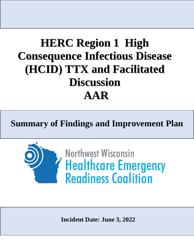# **HERC Region 1 High Consequence Infectious Disease (HCID) TTX and Facilitated Discussion AAR**

**Summary of Findings and Improvement Plan**



**Incident Date: June 3, 2022**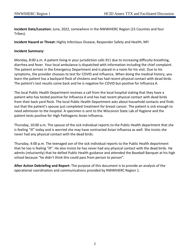**Incident Date/Location:** June, 2022, somewhere in the NWWIHERC Region (15 Counties and four Tribes).

**Incident Hazard or Threat:** Highly Infectious Disease, Responder Safety and Health, NPI

# **Incident Summary:**

Monday, 8:00 a.m. A patient living in your jurisdiction calls 911 due to increasing difficulty breathing, diarrhea and fever. Your local ambulance is dispatched with information including the chief complaint. The patient arrives in the Emergency Department and is placed in a room for his visit. Due to his symptoms, the provider chooses to test for COVID and Influenza. When doing the medical history, you learn the patient has a backyard flock of chickens and has had recent physical contact with dead birds. The patient's test results come back and he is negative for COVID but positive for Influenza A.

The local Public Health Department receives a call from the local hospital stating that they have a patient who has tested positive for Influenza A and has had recent physical contact with dead birds from their back yard flock. The local Public Health Department asks about household contacts and finds out that the patient's spouse just completed treatment for breast cancer. The patient is sick enough to need admission to the hospital. A specimen is sent to the Wisconsin State Lab of Hygiene and the patient tests positive for High Pathogenic Avian Influenza.

Thursday, 10:00 a.m. The spouse of the sick individual reports to the Public Health department that she is feeling "ill" today and is worried she may have contracted Avian Influenza as well. She insists she never had any physical contact with the dead birds.

Thursday, 4:00 p.m. The teenaged son of the sick individual reports to the Public Health department that he too is feeling "ill". He also insists he has never had any physical contact with the dead birds. He admits (reluctantly) that he defied Public Health guidance and attended the Baseball Banquet at his high school because "he didn't think this could pass from person to person".

**After Action Debriefing and Report:** The purpose of this document is to provide an analysis of the operational coordination and communications provided by NWWIHERC Region 1.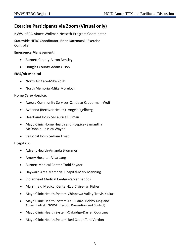# **Exercise Participants via Zoom (Virtual only)**

NWWIHERC-Aimee Wollman Nesseth-Program Coordinator

Statewide HERC Coordinator: Brian Kaczmarski-Exercise Controller

# **Emergency Management:**

- Burnett County-Aaron Bentley
- Douglas County-Adam Olson

# **EMS/Air Medical**

- North Air Care-Mike Zolik
- North Memorial-Mike Morelock

# **Home Care/Hospice:**

- Aurora Community Services-Candace Kapperman-Wolf
- Aveanna (Recover Health)- Angela Kjellberg
- Heartland Hospice-Laurice Hillman
- Mayo Clinic Home Health and Hospice- Samantha McDonald, Jessica Wayne
- Regional Hospice-Pam Frost

# **Hospitals:**

- Advent Health-Amanda Brommer
- Amery Hospital-Alisa Lang
- Burnett Medical Center-Todd Snyder
- Hayward Area Memorial Hospital-Mark Manning
- Indianhead Medical Center-Parker Bandoli
- Marshfield Medical Center-Eau Claire-Ian Fisher
- Mayo Clinic Health System-Chippewa Valley-Travis Klukas
- Mayo Clinic Health System-Eau Claire- Bobby King and Alissa Hladilek (NWWI Infection Prevention and Control)
- Mayo Clinic Health System-Oakridge-Darrell Courtney
- Mayo Clinic Health System-Red Cedar-Tara Verdon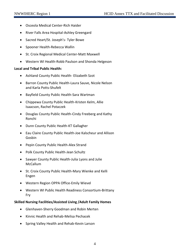- Osceola Medical Center-Rich Haider
- River Falls Area Hospital-Ashley Greengard
- Sacred Heart/St. Joseph's- Tyler Bowe
- Spooner Health-Rebecca Wallin
- St. Croix Regional Medical Center-Matt Maxwell
- Western WI Health-Robb Paulson and Shonda Helgeson

# **Local and Tribal Public Health:**

- Ashland County Public Health- Elizabeth Szot
- Barron County Public Health-Laura Sauve, Nicole Nelson and Karla Potts-Shufelt
- Bayfield County Public Health-Sara Wartman
- Chippewa County Public Health-Kristen Kelm, Allie Isaacson, Rachel Potaczek
- Douglas County Public Health-Cindy Freeberg and Kathy Ronchi
- Dunn County Public Health-KT Gallagher
- Eau Claire County Public Health-Joe Kalscheur and Allison Gosbin
- Pepin County Public Health-Alex Strand
- Polk County Public Health-Jean Schultz
- Sawyer County Public Health-Julia Lyons and Julie McCallum
- St. Croix County Public Health-Mary Wienke and Kelli Engen
- Western Region OPPA Office-Emily Wievel
- Western WI Public Health Readiness Consortium-Brittany Fry

# **Skilled Nursing Facilities/Assisted Living /Adult Family Homes**

- Glenhaven-Sherry Goodman and Robin Merten
- Kinnic Health and Rehab-Melisa Pechacek
- Spring Valley Health and Rehab-Kevin Larson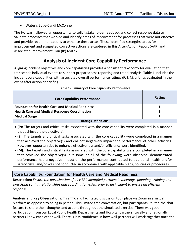• Water's Edge-Candi McConnell

The Hotwash allowed an opportunity to solicit stakeholder feedback and collect response data to validate processes that worked and identify areas of improvement for processes that were not effective and provide recommendations to enhance these areas. These identified strengths, areas for improvement and suggested corrective actions are captured in this After-Action Report (AAR) and associated Improvement Plan (IP) Matrix.

# **Analysis of Incident Core Capability Performance**

Aligning incident objectives and core capabilities provides a consistent taxonomy for evaluation that transcends individual events to support preparedness reporting and trend analysis. Table 1 includes the incident core capabilities with associated overall performance ratings (P, S, M, or U) as evaluated in the event after action debriefing.

| <b>Core Capability Performance</b>                      | Rating |  |  |  |
|---------------------------------------------------------|--------|--|--|--|
| <b>Foundation for Health Care and Medical Readiness</b> |        |  |  |  |
| <b>Health Care and Medical Response Coordination</b>    |        |  |  |  |
| <b>Medical Surge</b>                                    | D      |  |  |  |
| <b>Ratings Definitions</b>                              |        |  |  |  |

# **Table 1-Summary of Core Capability Performance**

- **(P):** The targets and critical tasks associated with the core capability were completed in a manner that achieved the objective(s).
- **(S):** The targets and critical tasks associated with the core capability were completed in a manner that achieved the objective(s) and did not negatively impact the performance of other activities. However, opportunities to enhance effectiveness and/or efficiency were identified.
- **(M):** The targets and critical tasks associated with the core capability were completed in a manner that achieved the objective(s), but some or all of the following were observed: demonstrated performance had a negative impact on the performance; contributed to additional health and/or safety risks; and/or was not conducted in accordance with applicable plans, policies or procedures.

# **Core Capability: Foundation for Health Care and Medical Readiness**

**Description:** *Ensure the participation of all HERC identified partners in meetings, planning, training and exercising so that relationships and coordination exists prior to an incident to ensure an efficient response.*

**Analysis and Key Observations:** This TTX and facilitated discussion took place via Zoom in a virtual platform as opposed to being in person. This limited free conversation, but participants utilized the chat feature to share their thoughts and actions throughout the simulated exercise. There was good participation from our Local Public Health Departments and Hospital partners. Locally and regionally, partners know each other well. There is less confidence in how well partners will work together once the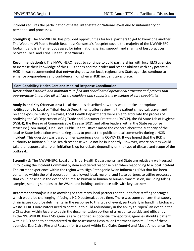incident requires the participation of State, inter-state or National levels due to unfamiliarity of personnel and processes.

**Strength(s):** The NWWIHERC has provided opportunities for local partners to get to know one another. The Western WI Public Health Readiness Consortia's footprint covers the majority of the NWWIHERC footprint and is a tremendous asset for information sharing, support, and sharing of best practices between Local and Tribal Health Departments.

**Recommendation(s):** The NWWIHERC needs to continue to build partnerships with local EMS agencies to increase their knowledge of this HCID annex and their roles and responsibilities with any potential HCID. It was recommended that networking between local, regional and State agencies continue to enhance preparedness and confidence if or when a HCID incident takes place.

# **Core Capability: Health Care and Medical Response Coordination**

**Description:** *Establish and maintain a unified and coordinated operational structure and process that appropriately integrates all critical stakeholders and supports the execution of core capabilities.*

**Analysis and Key Observations:** Local Hospitals described how they would make appropriate notifications to Local or Tribal Health Departments after reviewing the patient's medical, travel, and recent exposure history. Likewise, Local Health Departments were able to articulate the process of notifying the WI Department of Ag Trade and Consumer Protection (DATCP), the WI State Lab of Hygiene (WSLH), the Bureau of Communicable Disease (BCD) and other leaders within the State response structure (Tom Haupt). One Local Public Health Officer raised the concern about the authority of the local or State jurisdiction when taking steps to protect the public or local community during a HCID incident. This question was based on her experience during COVID-19. It was hoped that the BCD's authority to initiate a Public Health response would not be in jeopardy. However, where politics would take the response after plan initiation is up for debate depending on the type of disease and scope of the outbreak.

**Strength(s):** The NWWIHERC, Local and Tribal Health Departments, and State are relatively well-versed in following the Incident Command System and tiered response plan when responding to a local incident. The current experience within the region with High Pathogenic Avian Influenza (HPAI) that has been contained within the bird population has allowed local, regional and State partners to utilize processes that could be used in the event of animal to human or human to human transmission, including taking samples, sending samples to the WSLH, and holding conference calls with key partners.

**Recommendation(s):** It is acknowledged that many local partners continue to face staffing shortages which would be challenging if facing a HCID outbreak at this time. There was some concern that supply chain issues could be detrimental in the response to this type of event, particularly in handling biohazard waste. HERC Coordinators need to continue to build redundancy in the ability to "open" an event in the eICS system within Juvare to begin the documentation portion of a response quickly and efficiently. In the NWWIHERC two EMS agencies are identified as potential transporting agencies should a patient with a HCID need to be transferred to the Assessment Hospital or Treatment Hospital. Both of these agencies, Eau Claire Fire and Rescue (for transport within Eau Claire County) and Mayo Ambulance (for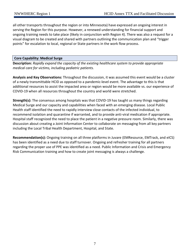all other transports throughout the region or into Minnesota) have expressed an ongoing interest in serving the Region for this purpose. However, a renewed understanding for financial support and ongoing training needs to take place (likely in conjunction with Region 4). There was also a request for a visual diagram to be created and shared with partners outlining the communication plan and "trigger points" for escalation to local, regional or State partners in the work flow process.

# **Core Capability: Medical Surge**

**Description:** *Rapidly expand the capacity of the existing healthcare system to provide appropriate medical care for victims, including pediatric patients.*

**Analysis and Key Observations:** Throughout the discussion, it was assumed this event would be a cluster of a newly transmittable HCID as opposed to a pandemic-level event. The advantage to this is that additional resources to assist the impacted area or region would be more available vs. our experience of COVID-19 when all resources throughout the country and world were stretched.

**Strength(s):** The consensus among hospitals was that COVID-19 has taught us many things regarding Medical Surge and our capacity and capabilities when faced with an emerging disease. Local Public Health staff identified the need to rapidly interview close contacts of the infected individual, to recommend isolation and quarantine if warranted, and to provide anti-viral medication if appropriate. Hospital staff recognized the need to place the patient in a negative pressure room. Similarly, there was discussion about creating a Joint Information Center to collaborate on messaging from all key partners including the Local Tribal Health Department, Hospital, and State.

**Recommendation(s):** Ongoing training on all three platforms in Juvare (EMResource, EMTrack, and eICS) has been identified as a need due to staff turnover. Ongoing and refresher training for all partners regarding the proper use of PPE was identified as a need. Public Information and Crisis and Emergency Risk Communication training and how to create joint messaging is always a challenge.